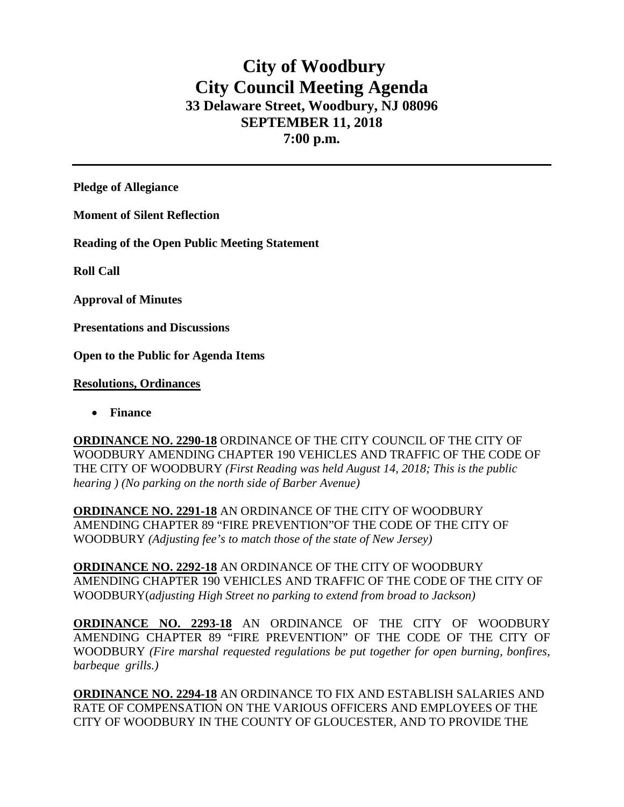# **City of Woodbury City Council Meeting Agenda 33 Delaware Street, Woodbury, NJ 08096 SEPTEMBER 11, 2018 7:00 p.m.**

**Pledge of Allegiance**

**Moment of Silent Reflection**

**Reading of the Open Public Meeting Statement**

**Roll Call**

**Approval of Minutes**

**Presentations and Discussions**

**Open to the Public for Agenda Items**

### **Resolutions, Ordinances**

• **Finance** 

**ORDINANCE NO. 2290-18** ORDINANCE OF THE CITY COUNCIL OF THE CITY OF WOODBURY AMENDING CHAPTER 190 VEHICLES AND TRAFFIC OF THE CODE OF THE CITY OF WOODBURY *(First Reading was held August 14, 2018; This is the public hearing ) (No parking on the north side of Barber Avenue)*

**ORDINANCE NO. 2291-18** AN ORDINANCE OF THE CITY OF WOODBURY AMENDING CHAPTER 89 "FIRE PREVENTION"OF THE CODE OF THE CITY OF WOODBURY *(Adjusting fee's to match those of the state of New Jersey)*

**ORDINANCE NO. 2292-18** AN ORDINANCE OF THE CITY OF WOODBURY AMENDING CHAPTER 190 VEHICLES AND TRAFFIC OF THE CODE OF THE CITY OF WOODBURY(*adjusting High Street no parking to extend from broad to Jackson)*

**ORDINANCE NO. 2293-18** AN ORDINANCE OF THE CITY OF WOODBURY AMENDING CHAPTER 89 "FIRE PREVENTION" OF THE CODE OF THE CITY OF WOODBURY *(Fire marshal requested regulations be put together for open burning, bonfires, barbeque grills.)*

**ORDINANCE NO. 2294-18** AN ORDINANCE TO FIX AND ESTABLISH SALARIES AND RATE OF COMPENSATION ON THE VARIOUS OFFICERS AND EMPLOYEES OF THE CITY OF WOODBURY IN THE COUNTY OF GLOUCESTER, AND TO PROVIDE THE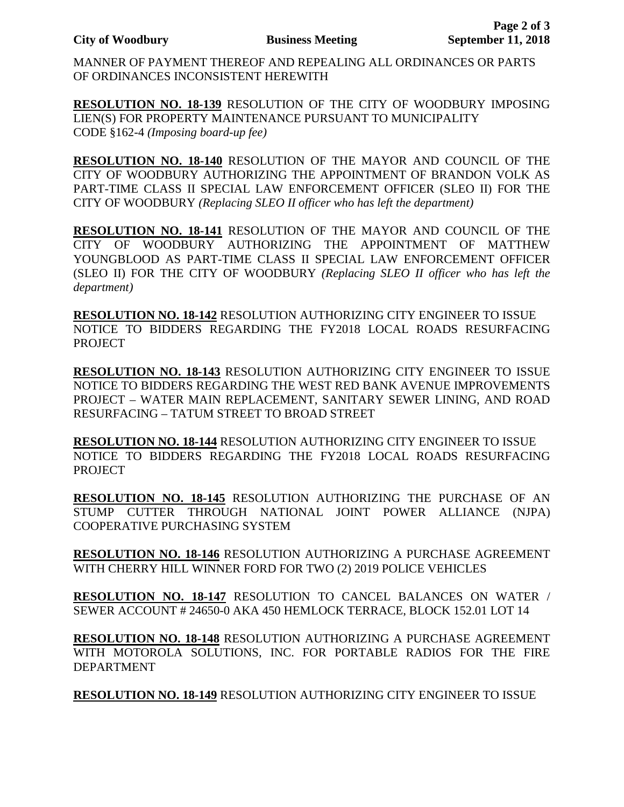MANNER OF PAYMENT THEREOF AND REPEALING ALL ORDINANCES OR PARTS OF ORDINANCES INCONSISTENT HEREWITH

**RESOLUTION NO. 18-139** RESOLUTION OF THE CITY OF WOODBURY IMPOSING LIEN(S) FOR PROPERTY MAINTENANCE PURSUANT TO MUNICIPALITY CODE §162-4 *(Imposing board-up fee)*

**RESOLUTION NO. 18-140** RESOLUTION OF THE MAYOR AND COUNCIL OF THE CITY OF WOODBURY AUTHORIZING THE APPOINTMENT OF BRANDON VOLK AS PART-TIME CLASS II SPECIAL LAW ENFORCEMENT OFFICER (SLEO II) FOR THE CITY OF WOODBURY *(Replacing SLEO II officer who has left the department)*

**RESOLUTION NO. 18-141** RESOLUTION OF THE MAYOR AND COUNCIL OF THE CITY OF WOODBURY AUTHORIZING THE APPOINTMENT OF MATTHEW YOUNGBLOOD AS PART-TIME CLASS II SPECIAL LAW ENFORCEMENT OFFICER (SLEO II) FOR THE CITY OF WOODBURY *(Replacing SLEO II officer who has left the department)*

**RESOLUTION NO. 18-142** RESOLUTION AUTHORIZING CITY ENGINEER TO ISSUE NOTICE TO BIDDERS REGARDING THE FY2018 LOCAL ROADS RESURFACING PROJECT

**RESOLUTION NO. 18-143** RESOLUTION AUTHORIZING CITY ENGINEER TO ISSUE NOTICE TO BIDDERS REGARDING THE WEST RED BANK AVENUE IMPROVEMENTS PROJECT – WATER MAIN REPLACEMENT, SANITARY SEWER LINING, AND ROAD RESURFACING – TATUM STREET TO BROAD STREET

**RESOLUTION NO. 18-144** RESOLUTION AUTHORIZING CITY ENGINEER TO ISSUE NOTICE TO BIDDERS REGARDING THE FY2018 LOCAL ROADS RESURFACING PROJECT

**RESOLUTION NO. 18-145** RESOLUTION AUTHORIZING THE PURCHASE OF AN STUMP CUTTER THROUGH NATIONAL JOINT POWER ALLIANCE (NJPA) COOPERATIVE PURCHASING SYSTEM

**RESOLUTION NO. 18-146** RESOLUTION AUTHORIZING A PURCHASE AGREEMENT WITH CHERRY HILL WINNER FORD FOR TWO (2) 2019 POLICE VEHICLES

**RESOLUTION NO. 18-147** RESOLUTION TO CANCEL BALANCES ON WATER / SEWER ACCOUNT # 24650-0 AKA 450 HEMLOCK TERRACE, BLOCK 152.01 LOT 14

**RESOLUTION NO. 18-148** RESOLUTION AUTHORIZING A PURCHASE AGREEMENT WITH MOTOROLA SOLUTIONS, INC. FOR PORTABLE RADIOS FOR THE FIRE DEPARTMENT

**RESOLUTION NO. 18-149** RESOLUTION AUTHORIZING CITY ENGINEER TO ISSUE